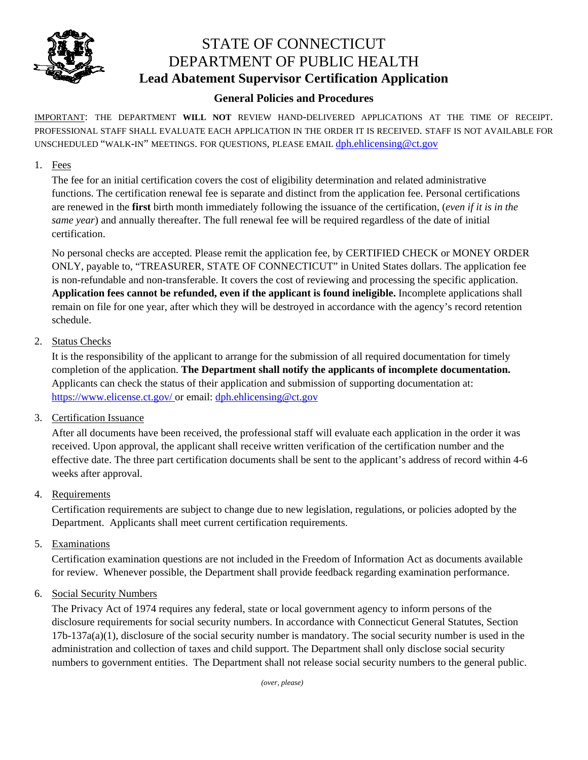

# STATE OF CONNECTICUT DEPARTMENT OF PUBLIC HEALTH **Lead Abatement Supervisor Certification Application**

### **General Policies and Procedures**

IMPORTANT: THE DEPARTMENT **WILL NOT** REVIEW HAND-DELIVERED APPLICATIONS AT THE TIME OF RECEIPT. PROFESSIONAL STAFF SHALL EVALUATE EACH APPLICATION IN THE ORDER IT IS RECEIVED. STAFF IS NOT AVAILABLE FOR UNSCHEDULED "WALK-IN" MEETINGS. FOR QUESTIONS, PLEASE EMAIL dph.ehlicensing@ct.gov

#### 1. Fees

The fee for an initial certification covers the cost of eligibility determination and related administrative functions. The certification renewal fee is separate and distinct from the application fee. Personal certifications are renewed in the **first** birth month immediately following the issuance of the certification, (*even if it is in the same year*) and annually thereafter. The full renewal fee will be required regardless of the date of initial certification.

No personal checks are accepted. Please remit the application fee, by CERTIFIED CHECK or MONEY ORDER ONLY, payable to, "TREASURER, STATE OF CONNECTICUT" in United States dollars. The application fee is non-refundable and non-transferable. It covers the cost of reviewing and processing the specific application. **Application fees cannot be refunded, even if the applicant is found ineligible.** Incomplete applications shall remain on file for one year, after which they will be destroyed in accordance with the agency's record retention schedule.

#### 2. Status Checks

It is the responsibility of the applicant to arrange for the submission of all required documentation for timely completion of the application. **The Department shall notify the applicants of incomplete documentation.**  Applicants can check the status of their application and submission of supporting documentation at: https://www.elicense.ct.gov/ or email: dph.ehlicensing@ct.gov

#### 3. Certification Issuance

After all documents have been received, the professional staff will evaluate each application in the order it was received. Upon approval, the applicant shall receive written verification of the certification number and the effective date. The three part certification documents shall be sent to the applicant's address of record within 4-6 weeks after approval.

#### 4. Requirements

Certification requirements are subject to change due to new legislation, regulations, or policies adopted by the Department. Applicants shall meet current certification requirements.

5. Examinations

Certification examination questions are not included in the Freedom of Information Act as documents available for review. Whenever possible, the Department shall provide feedback regarding examination performance.

#### 6. Social Security Numbers

The Privacy Act of 1974 requires any federal, state or local government agency to inform persons of the disclosure requirements for social security numbers. In accordance with Connecticut General Statutes, Section  $17b-137a(a)(1)$ , disclosure of the social security number is mandatory. The social security number is used in the administration and collection of taxes and child support. The Department shall only disclose social security numbers to government entities. The Department shall not release social security numbers to the general public.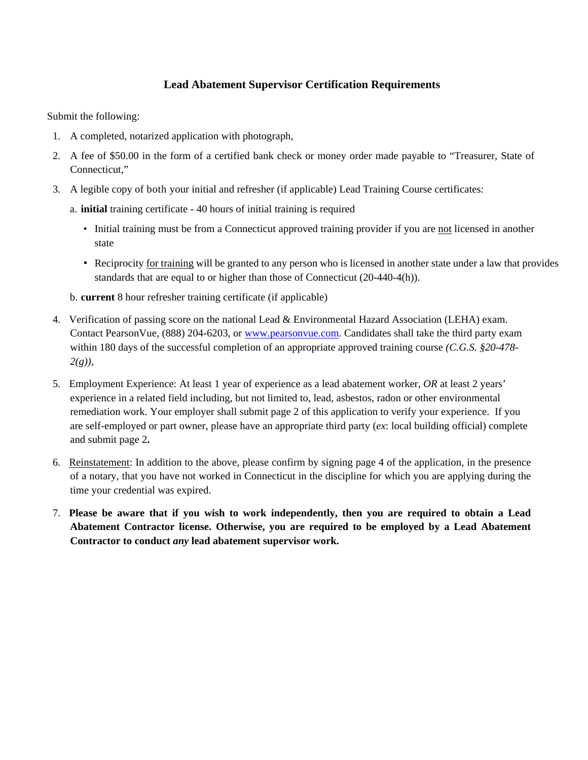#### **Lead Abatement Supervisor Certification Requirements**

Submit the following:

- 1. A completed, notarized application with photograph,
- 2. A fee of \$50.00 in the form of a certified bank check or money order made payable to "Treasurer, State of Connecticut,"
- 3. A legible copy of both your initial and refresher (if applicable) Lead Training Course certificates:
	- a. **initial** training certificate 40 hours of initial training is required
		- Initial training must be from a Connecticut approved training provider if you are not licensed in another state
		- Reciprocity for training will be granted to any person who is licensed in another state under a law that provides standards that are equal to or higher than those of Connecticut (20-440-4(h)).

b. **current** 8 hour refresher training certificate (if applicable)

- 4. Verification of passing score on the national Lead & Environmental Hazard Association (LEHA) exam. Contact PearsonVue, (888) 204-6203, or www.pearsonvue.com. Candidates shall take the third party exam within 180 days of the successful completion of an appropriate approved training course *(C.G.S. §20-478- 2(g)),*
- 5. Employment Experience: At least 1 year of experience as a lead abatement worker, *OR* at least 2 years' experience in a related field including, but not limited to, lead, asbestos, radon or other environmental remediation work. Your employer shall submit page 2 of this application to verify your experience. If you are self-employed or part owner, please have an appropriate third party (*ex*: local building official) complete and submit page 2**.**
- 6. Reinstatement: In addition to the above, please confirm by signing page 4 of the application, in the presence of a notary, that you have not worked in Connecticut in the discipline for which you are applying during the time your credential was expired.
- 7. **Please be aware that if you wish to work independently, then you are required to obtain a Lead Abatement Contractor license. Otherwise, you are required to be employed by a Lead Abatement Contractor to conduct** *any* **lead abatement supervisor work.**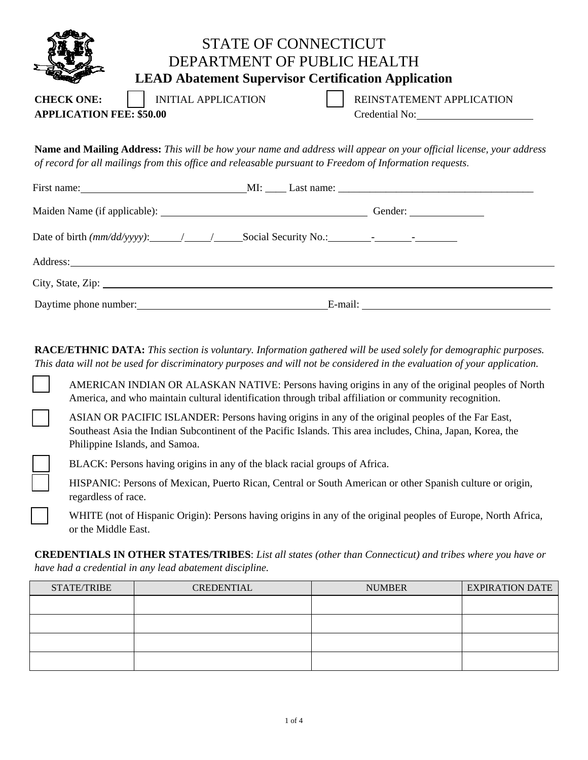|                                                                                                                                                                                                                                |                            | <b>STATE OF CONNECTICUT</b><br>DEPARTMENT OF PUBLIC HEALTH<br><b>LEAD Abatement Supervisor Certification Application</b>                                                                                                              |  |
|--------------------------------------------------------------------------------------------------------------------------------------------------------------------------------------------------------------------------------|----------------------------|---------------------------------------------------------------------------------------------------------------------------------------------------------------------------------------------------------------------------------------|--|
| <b>CHECK ONE:</b><br><b>APPLICATION FEE: \$50.00</b>                                                                                                                                                                           | <b>INITIAL APPLICATION</b> | REINSTATEMENT APPLICATION<br>Credential No:                                                                                                                                                                                           |  |
|                                                                                                                                                                                                                                |                            | <b>Name and Mailing Address:</b> This will be how your name and address will appear on your official license, your address<br>of record for all mailings from this office and releasable pursuant to Freedom of Information requests. |  |
|                                                                                                                                                                                                                                |                            |                                                                                                                                                                                                                                       |  |
|                                                                                                                                                                                                                                |                            |                                                                                                                                                                                                                                       |  |
| Address: Note and the set of the set of the set of the set of the set of the set of the set of the set of the set of the set of the set of the set of the set of the set of the set of the set of the set of the set of the se |                            |                                                                                                                                                                                                                                       |  |
|                                                                                                                                                                                                                                |                            |                                                                                                                                                                                                                                       |  |
| Daytime phone number:<br><u>Daytime</u> phone number:                                                                                                                                                                          |                            |                                                                                                                                                                                                                                       |  |

**RACE/ETHNIC DATA:** *This section is voluntary. Information gathered will be used solely for demographic purposes. This data will not be used for discriminatory purposes and will not be considered in the evaluation of your application.* 

AMERICAN INDIAN OR ALASKAN NATIVE: Persons having origins in any of the original peoples of North America, and who maintain cultural identification through tribal affiliation or community recognition.

ASIAN OR PACIFIC ISLANDER: Persons having origins in any of the original peoples of the Far East, Southeast Asia the Indian Subcontinent of the Pacific Islands. This area includes, China, Japan, Korea, the Philippine Islands, and Samoa.

BLACK: Persons having origins in any of the black racial groups of Africa.

HISPANIC: Persons of Mexican, Puerto Rican, Central or South American or other Spanish culture or origin, regardless of race.

WHITE (not of Hispanic Origin): Persons having origins in any of the original peoples of Europe, North Africa, or the Middle East.

**CREDENTIALS IN OTHER STATES/TRIBES**: *List all states (other than Connecticut) and tribes where you have or have had a credential in any lead abatement discipline.* 

| STATE/TRIBE | <b>CREDENTIAL</b> | <b>NUMBER</b> | <b>EXPIRATION DATE</b> |
|-------------|-------------------|---------------|------------------------|
|             |                   |               |                        |
|             |                   |               |                        |
|             |                   |               |                        |
|             |                   |               |                        |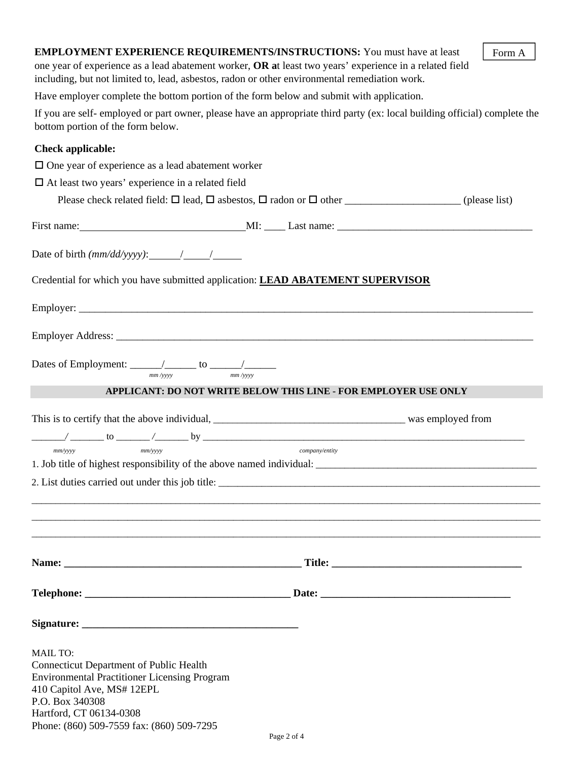| <b>EMPLOYMENT EXPERIENCE REQUIREMENTS/INSTRUCTIONS:</b> You must have at least<br>Form A<br>one year of experience as a lead abatement worker, OR at least two years' experience in a related field<br>including, but not limited to, lead, asbestos, radon or other environmental remediation work. |  |                                                                        |  |  |  |
|------------------------------------------------------------------------------------------------------------------------------------------------------------------------------------------------------------------------------------------------------------------------------------------------------|--|------------------------------------------------------------------------|--|--|--|
| Have employer complete the bottom portion of the form below and submit with application.                                                                                                                                                                                                             |  |                                                                        |  |  |  |
| If you are self- employed or part owner, please have an appropriate third party (ex: local building official) complete the<br>bottom portion of the form below.                                                                                                                                      |  |                                                                        |  |  |  |
| <b>Check applicable:</b>                                                                                                                                                                                                                                                                             |  |                                                                        |  |  |  |
| $\Box$ One year of experience as a lead abatement worker                                                                                                                                                                                                                                             |  |                                                                        |  |  |  |
| $\Box$ At least two years' experience in a related field                                                                                                                                                                                                                                             |  |                                                                        |  |  |  |
|                                                                                                                                                                                                                                                                                                      |  |                                                                        |  |  |  |
|                                                                                                                                                                                                                                                                                                      |  |                                                                        |  |  |  |
|                                                                                                                                                                                                                                                                                                      |  |                                                                        |  |  |  |
| Date of birth $(mm/dd/yyyy)$ : $\qquad \qquad / \qquad \qquad / \qquad \qquad$                                                                                                                                                                                                                       |  |                                                                        |  |  |  |
| Credential for which you have submitted application: LEAD ABATEMENT SUPERVISOR                                                                                                                                                                                                                       |  |                                                                        |  |  |  |
|                                                                                                                                                                                                                                                                                                      |  |                                                                        |  |  |  |
|                                                                                                                                                                                                                                                                                                      |  |                                                                        |  |  |  |
| mm / vvvv                                                                                                                                                                                                                                                                                            |  |                                                                        |  |  |  |
|                                                                                                                                                                                                                                                                                                      |  | <b>APPLICANT: DO NOT WRITE BELOW THIS LINE - FOR EMPLOYER USE ONLY</b> |  |  |  |
|                                                                                                                                                                                                                                                                                                      |  |                                                                        |  |  |  |
|                                                                                                                                                                                                                                                                                                      |  |                                                                        |  |  |  |
| $mm/$ yyyy<br>$mm/$ yyyy                                                                                                                                                                                                                                                                             |  | company/entity                                                         |  |  |  |
| 1. Job title of highest responsibility of the above named individual:                                                                                                                                                                                                                                |  |                                                                        |  |  |  |
|                                                                                                                                                                                                                                                                                                      |  |                                                                        |  |  |  |
|                                                                                                                                                                                                                                                                                                      |  |                                                                        |  |  |  |
|                                                                                                                                                                                                                                                                                                      |  |                                                                        |  |  |  |
|                                                                                                                                                                                                                                                                                                      |  |                                                                        |  |  |  |
|                                                                                                                                                                                                                                                                                                      |  |                                                                        |  |  |  |
| <b>MAIL TO:</b><br><b>Connecticut Department of Public Health</b><br><b>Environmental Practitioner Licensing Program</b><br>410 Capitol Ave, MS# 12EPL<br>P.O. Box 340308<br>Hartford, CT 06134-0308<br>Phone: (860) 509-7559 fax: (860) 509-7295                                                    |  |                                                                        |  |  |  |
|                                                                                                                                                                                                                                                                                                      |  | Page 2 of 4                                                            |  |  |  |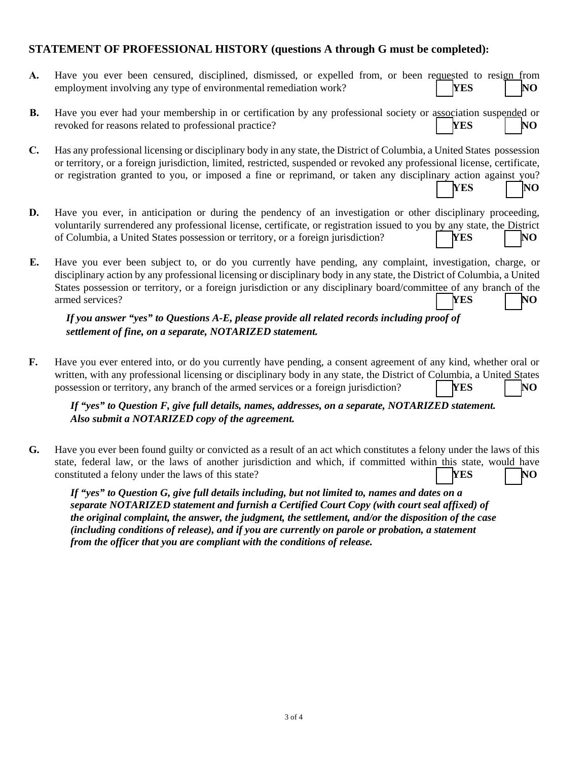#### **STATEMENT OF PROFESSIONAL HISTORY (questions A through G must be completed):**

| A.             | Have you ever been censured, disciplined, dismissed, or expelled from, or been requested to resign from<br>employment involving any type of environmental remediation work?<br><b>YES</b><br>NO                                                                                                                                                                                            |
|----------------|--------------------------------------------------------------------------------------------------------------------------------------------------------------------------------------------------------------------------------------------------------------------------------------------------------------------------------------------------------------------------------------------|
| <b>B.</b>      | Have you ever had your membership in or certification by any professional society or association suspended or<br>revoked for reasons related to professional practice?<br><b>YES</b><br>NO                                                                                                                                                                                                 |
| $\mathbf{C}$ . | Has any professional licensing or disciplinary body in any state, the District of Columbia, a United States possession<br>or territory, or a foreign jurisdiction, limited, restricted, suspended or revoked any professional license, certificate,<br>or registration granted to you, or imposed a fine or reprimand, or taken any disciplinary action against you?<br>YES<br>NO          |
| D.             | Have you ever, in anticipation or during the pendency of an investigation or other disciplinary proceeding,<br>voluntarily surrendered any professional license, certificate, or registration issued to you by any state, the District<br>of Columbia, a United States possession or territory, or a foreign jurisdiction?<br><b>YES</b><br>NO                                             |
| E.             | Have you ever been subject to, or do you currently have pending, any complaint, investigation, charge, or<br>disciplinary action by any professional licensing or disciplinary body in any state, the District of Columbia, a United<br>States possession or territory, or a foreign jurisdiction or any disciplinary board/committee of any branch of the<br>armed services?<br>YES<br>NO |
|                | If you answer "yes" to Questions A-E, please provide all related records including proof of<br>settlement of fine, on a separate, NOTARIZED statement.                                                                                                                                                                                                                                     |
| F.             | Have you ever entered into, or do you currently have pending, a consent agreement of any kind, whether oral or<br>written, with any professional licensing or disciplinary body in any state, the District of Columbia, a United States<br>possession or territory, any branch of the armed services or a foreign jurisdiction?<br>YES<br>NO                                               |
|                | If "yes" to Question F, give full details, names, addresses, on a separate, NOTARIZED statement.<br>Also submit a NOTARIZED copy of the agreement.                                                                                                                                                                                                                                         |

**G.** Have you ever been found guilty or convicted as a result of an act which constitutes a felony under the laws of this state, federal law, or the laws of another jurisdiction and which, if committed within this state, would have constituted a felony under the laws of this state? **YES** NO

*If "yes" to Question G, give full details including, but not limited to, names and dates on a separate NOTARIZED statement and furnish a Certified Court Copy (with court seal affixed) of the original complaint, the answer, the judgment, the settlement, and/or the disposition of the case (including conditions of release), and if you are currently on parole or probation, a statement from the officer that you are compliant with the conditions of release.*